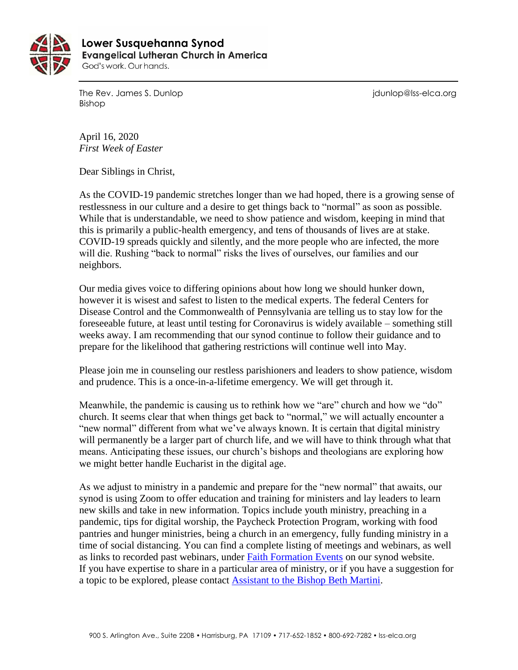

 **Lower Susquehanna SynodEvangelical Lutheran Church in America** God's work. Our hands.

The Rev. James S. Dunlop journalism is a state of the Rev. James S. Dunlop is a state of the Rev. James S. Dunlop Bishop

April 16, 2020 *First Week of Easter*

Dear Siblings in Christ,

As the COVID-19 pandemic stretches longer than we had hoped, there is a growing sense of restlessness in our culture and a desire to get things back to "normal" as soon as possible. While that is understandable, we need to show patience and wisdom, keeping in mind that this is primarily a public-health emergency, and tens of thousands of lives are at stake. COVID-19 spreads quickly and silently, and the more people who are infected, the more will die. Rushing "back to normal" risks the lives of ourselves, our families and our neighbors.

Our media gives voice to differing opinions about how long we should hunker down, however it is wisest and safest to listen to the medical experts. The federal Centers for Disease Control and the Commonwealth of Pennsylvania are telling us to stay low for the foreseeable future, at least until testing for Coronavirus is widely available – something still weeks away. I am recommending that our synod continue to follow their guidance and to prepare for the likelihood that gathering restrictions will continue well into May.

Please join me in counseling our restless parishioners and leaders to show patience, wisdom and prudence. This is a once-in-a-lifetime emergency. We will get through it.

Meanwhile, the pandemic is causing us to rethink how we "are" church and how we "do" church. It seems clear that when things get back to "normal," we will actually encounter a "new normal" different from what we've always known. It is certain that digital ministry will permanently be a larger part of church life, and we will have to think through what that means. Anticipating these issues, our church's bishops and theologians are exploring how we might better handle Eucharist in the digital age.

As we adjust to ministry in a pandemic and prepare for the "new normal" that awaits, our synod is using Zoom to offer education and training for ministers and lay leaders to learn new skills and take in new information. Topics include youth ministry, preaching in a pandemic, tips for digital worship, the Paycheck Protection Program, working with food pantries and hunger ministries, being a church in an emergency, fully funding ministry in a time of social distancing. You can find a complete listing of meetings and webinars, as well as links to recorded past webinars, under **Faith Formation Events** on our synod website. If you have expertise to share in a particular area of ministry, or if you have a suggestion for a topic to be explored, please contact [Assistant to the Bishop Beth Martini.](mailto:bmartini@lss-elca.org)